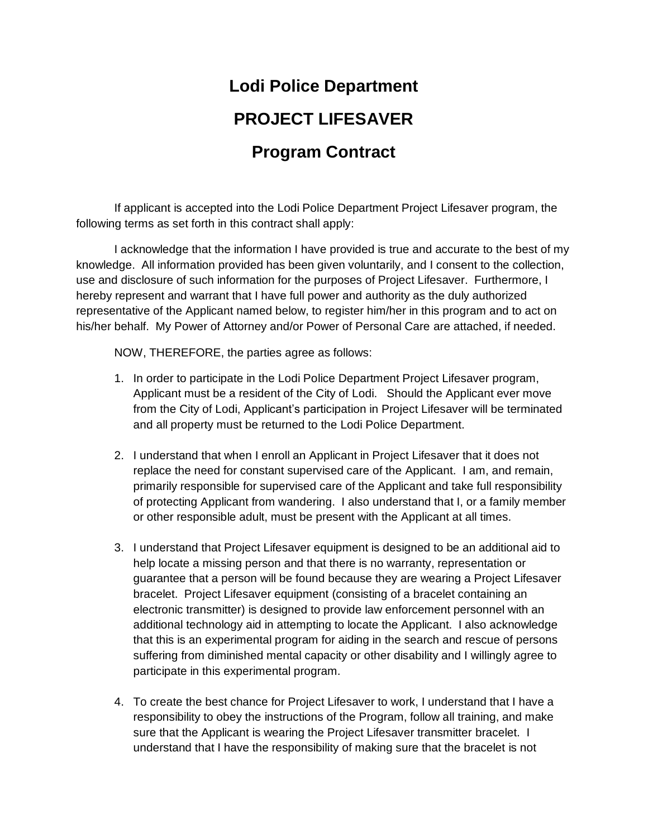## **Lodi Police Department PROJECT LIFESAVER Program Contract**

If applicant is accepted into the Lodi Police Department Project Lifesaver program, the following terms as set forth in this contract shall apply:

I acknowledge that the information I have provided is true and accurate to the best of my knowledge. All information provided has been given voluntarily, and I consent to the collection, use and disclosure of such information for the purposes of Project Lifesaver. Furthermore, I hereby represent and warrant that I have full power and authority as the duly authorized representative of the Applicant named below, to register him/her in this program and to act on his/her behalf. My Power of Attorney and/or Power of Personal Care are attached, if needed.

NOW, THEREFORE, the parties agree as follows:

- 1. In order to participate in the Lodi Police Department Project Lifesaver program, Applicant must be a resident of the City of Lodi. Should the Applicant ever move from the City of Lodi, Applicant's participation in Project Lifesaver will be terminated and all property must be returned to the Lodi Police Department.
- 2. I understand that when I enroll an Applicant in Project Lifesaver that it does not replace the need for constant supervised care of the Applicant. I am, and remain, primarily responsible for supervised care of the Applicant and take full responsibility of protecting Applicant from wandering. I also understand that I, or a family member or other responsible adult, must be present with the Applicant at all times.
- 3. I understand that Project Lifesaver equipment is designed to be an additional aid to help locate a missing person and that there is no warranty, representation or guarantee that a person will be found because they are wearing a Project Lifesaver bracelet. Project Lifesaver equipment (consisting of a bracelet containing an electronic transmitter) is designed to provide law enforcement personnel with an additional technology aid in attempting to locate the Applicant. I also acknowledge that this is an experimental program for aiding in the search and rescue of persons suffering from diminished mental capacity or other disability and I willingly agree to participate in this experimental program.
- 4. To create the best chance for Project Lifesaver to work, I understand that I have a responsibility to obey the instructions of the Program, follow all training, and make sure that the Applicant is wearing the Project Lifesaver transmitter bracelet. I understand that I have the responsibility of making sure that the bracelet is not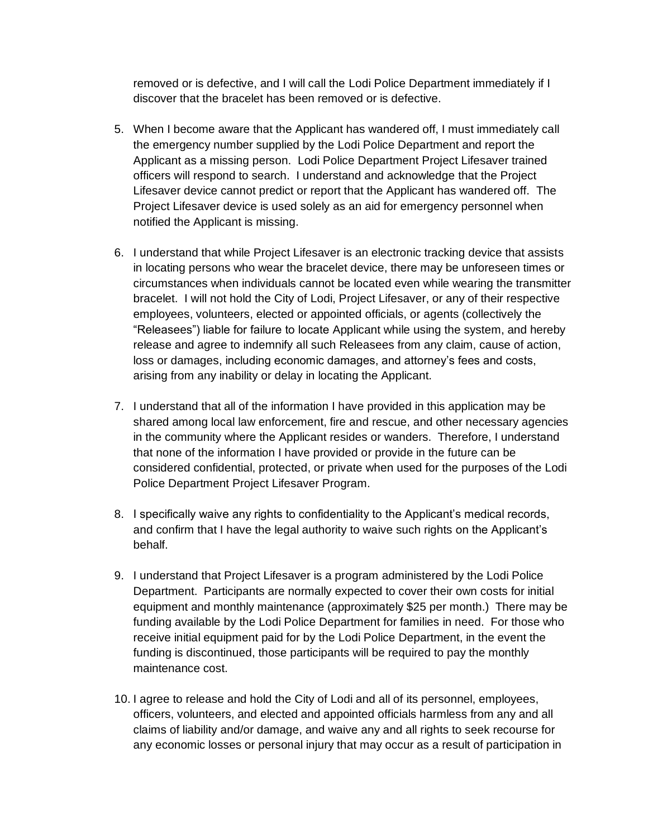removed or is defective, and I will call the Lodi Police Department immediately if I discover that the bracelet has been removed or is defective.

- 5. When I become aware that the Applicant has wandered off, I must immediately call the emergency number supplied by the Lodi Police Department and report the Applicant as a missing person. Lodi Police Department Project Lifesaver trained officers will respond to search. I understand and acknowledge that the Project Lifesaver device cannot predict or report that the Applicant has wandered off. The Project Lifesaver device is used solely as an aid for emergency personnel when notified the Applicant is missing.
- 6. I understand that while Project Lifesaver is an electronic tracking device that assists in locating persons who wear the bracelet device, there may be unforeseen times or circumstances when individuals cannot be located even while wearing the transmitter bracelet. I will not hold the City of Lodi, Project Lifesaver, or any of their respective employees, volunteers, elected or appointed officials, or agents (collectively the "Releasees") liable for failure to locate Applicant while using the system, and hereby release and agree to indemnify all such Releasees from any claim, cause of action, loss or damages, including economic damages, and attorney's fees and costs, arising from any inability or delay in locating the Applicant.
- 7. I understand that all of the information I have provided in this application may be shared among local law enforcement, fire and rescue, and other necessary agencies in the community where the Applicant resides or wanders. Therefore, I understand that none of the information I have provided or provide in the future can be considered confidential, protected, or private when used for the purposes of the Lodi Police Department Project Lifesaver Program.
- 8. I specifically waive any rights to confidentiality to the Applicant's medical records, and confirm that I have the legal authority to waive such rights on the Applicant's behalf.
- 9. I understand that Project Lifesaver is a program administered by the Lodi Police Department. Participants are normally expected to cover their own costs for initial equipment and monthly maintenance (approximately \$25 per month.) There may be funding available by the Lodi Police Department for families in need. For those who receive initial equipment paid for by the Lodi Police Department, in the event the funding is discontinued, those participants will be required to pay the monthly maintenance cost.
- 10. I agree to release and hold the City of Lodi and all of its personnel, employees, officers, volunteers, and elected and appointed officials harmless from any and all claims of liability and/or damage, and waive any and all rights to seek recourse for any economic losses or personal injury that may occur as a result of participation in